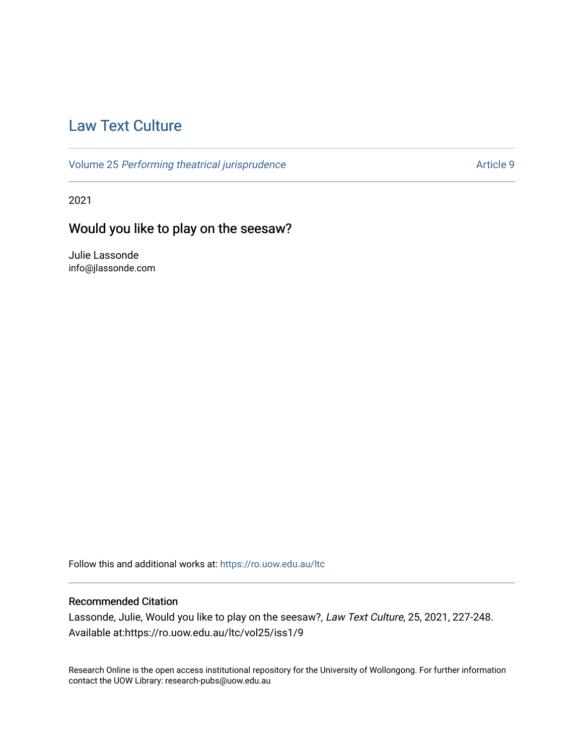# [Law Text Culture](https://ro.uow.edu.au/ltc)

Volume 25 [Performing theatrical jurisprudence](https://ro.uow.edu.au/ltc/vol25) Article 9

2021

# Would you like to play on the seesaw?

Julie Lassonde info@jlassonde.com

Follow this and additional works at: [https://ro.uow.edu.au/ltc](https://ro.uow.edu.au/ltc?utm_source=ro.uow.edu.au%2Fltc%2Fvol25%2Fiss1%2F9&utm_medium=PDF&utm_campaign=PDFCoverPages) 

# Recommended Citation

Lassonde, Julie, Would you like to play on the seesaw?, Law Text Culture, 25, 2021, 227-248. Available at:https://ro.uow.edu.au/ltc/vol25/iss1/9

Research Online is the open access institutional repository for the University of Wollongong. For further information contact the UOW Library: research-pubs@uow.edu.au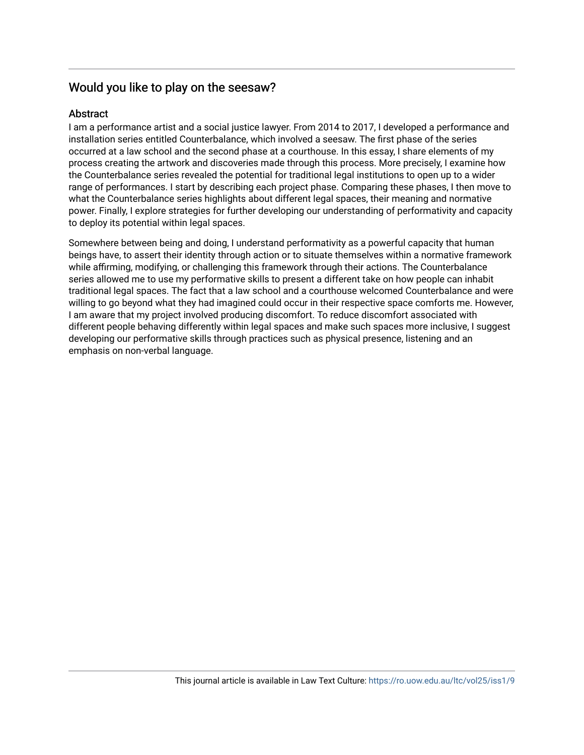# Would you like to play on the seesaw?

# Abstract

I am a performance artist and a social justice lawyer. From 2014 to 2017, I developed a performance and installation series entitled Counterbalance, which involved a seesaw. The first phase of the series occurred at a law school and the second phase at a courthouse. In this essay, I share elements of my process creating the artwork and discoveries made through this process. More precisely, I examine how the Counterbalance series revealed the potential for traditional legal institutions to open up to a wider range of performances. I start by describing each project phase. Comparing these phases, I then move to what the Counterbalance series highlights about different legal spaces, their meaning and normative power. Finally, I explore strategies for further developing our understanding of performativity and capacity to deploy its potential within legal spaces.

Somewhere between being and doing, I understand performativity as a powerful capacity that human beings have, to assert their identity through action or to situate themselves within a normative framework while affirming, modifying, or challenging this framework through their actions. The Counterbalance series allowed me to use my performative skills to present a different take on how people can inhabit traditional legal spaces. The fact that a law school and a courthouse welcomed Counterbalance and were willing to go beyond what they had imagined could occur in their respective space comforts me. However, I am aware that my project involved producing discomfort. To reduce discomfort associated with different people behaving differently within legal spaces and make such spaces more inclusive, I suggest developing our performative skills through practices such as physical presence, listening and an emphasis on non-verbal language.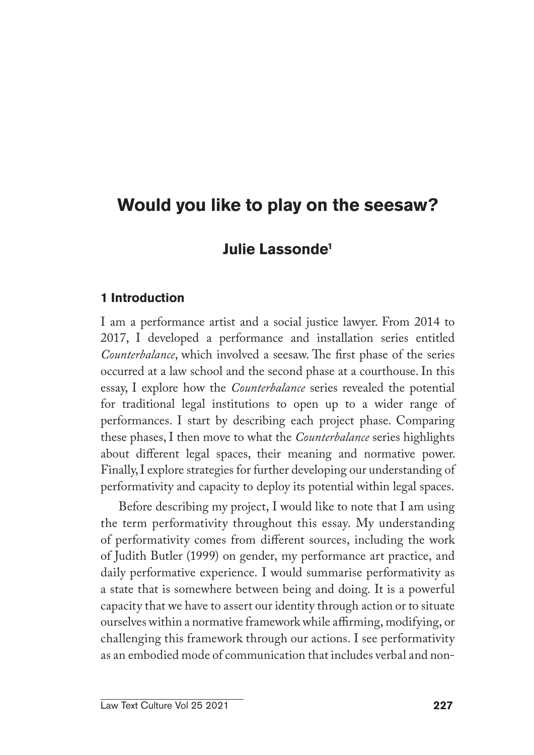# **Would you like to play on the seesaw?**

# **Julie Lassonde1**

# **1 Introduction**

I am a performance artist and a social justice lawyer. From 2014 to 2017, I developed a performance and installation series entitled *Counterbalance*, which involved a seesaw. The first phase of the series occurred at a law school and the second phase at a courthouse. In this essay, I explore how the *Counterbalance* series revealed the potential for traditional legal institutions to open up to a wider range of performances. I start by describing each project phase. Comparing these phases, I then move to what the *Counterbalance* series highlights about different legal spaces, their meaning and normative power. Finally, I explore strategies for further developing our understanding of performativity and capacity to deploy its potential within legal spaces.

Before describing my project, I would like to note that I am using the term performativity throughout this essay. My understanding of performativity comes from different sources, including the work of Judith Butler (1999) on gender, my performance art practice, and daily performative experience. I would summarise performativity as a state that is somewhere between being and doing. It is a powerful capacity that we have to assert our identity through action or to situate ourselves within a normative framework while affirming, modifying, or challenging this framework through our actions. I see performativity as an embodied mode of communication that includes verbal and non-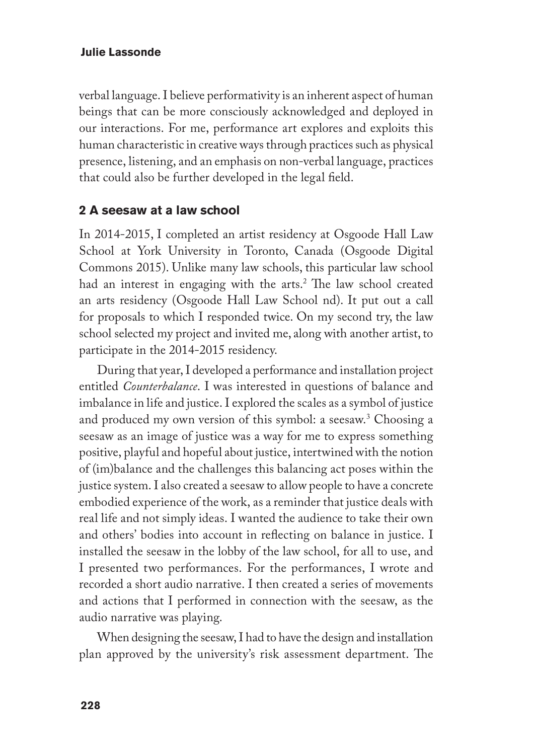verbal language. I believe performativity is an inherent aspect of human beings that can be more consciously acknowledged and deployed in our interactions. For me, performance art explores and exploits this human characteristic in creative ways through practices such as physical presence, listening, and an emphasis on non-verbal language, practices that could also be further developed in the legal field.

### **2 A seesaw at a law school**

In 2014-2015, I completed an artist residency at Osgoode Hall Law School at York University in Toronto, Canada (Osgoode Digital Commons 2015). Unlike many law schools, this particular law school had an interest in engaging with the arts.<sup>2</sup> The law school created an arts residency (Osgoode Hall Law School nd). It put out a call for proposals to which I responded twice. On my second try, the law school selected my project and invited me, along with another artist, to participate in the 2014-2015 residency.

During that year, I developed a performance and installation project entitled *Counterbalance*. I was interested in questions of balance and imbalance in life and justice. I explored the scales as a symbol of justice and produced my own version of this symbol: a seesaw.3 Choosing a seesaw as an image of justice was a way for me to express something positive, playful and hopeful about justice, intertwined with the notion of (im)balance and the challenges this balancing act poses within the justice system. I also created a seesaw to allow people to have a concrete embodied experience of the work, as a reminder that justice deals with real life and not simply ideas. I wanted the audience to take their own and others' bodies into account in reflecting on balance in justice. I installed the seesaw in the lobby of the law school, for all to use, and I presented two performances. For the performances, I wrote and recorded a short audio narrative. I then created a series of movements and actions that I performed in connection with the seesaw, as the audio narrative was playing.

When designing the seesaw, I had to have the design and installation plan approved by the university's risk assessment department. The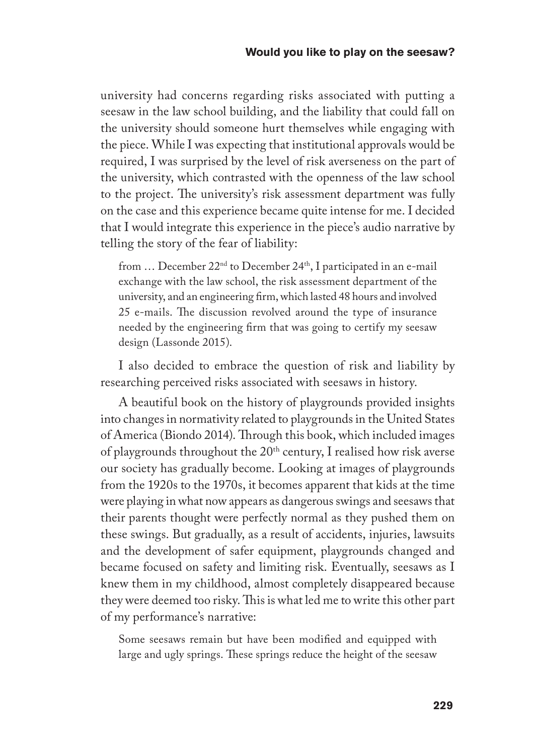university had concerns regarding risks associated with putting a seesaw in the law school building, and the liability that could fall on the university should someone hurt themselves while engaging with the piece. While I was expecting that institutional approvals would be required, I was surprised by the level of risk averseness on the part of the university, which contrasted with the openness of the law school to the project. The university's risk assessment department was fully on the case and this experience became quite intense for me. I decided that I would integrate this experience in the piece's audio narrative by telling the story of the fear of liability:

from ... December 22<sup>nd</sup> to December 24<sup>th</sup>, I participated in an e-mail exchange with the law school, the risk assessment department of the university, and an engineering firm, which lasted 48 hours and involved 25 e-mails. The discussion revolved around the type of insurance needed by the engineering firm that was going to certify my seesaw design (Lassonde 2015).

I also decided to embrace the question of risk and liability by researching perceived risks associated with seesaws in history.

A beautiful book on the history of playgrounds provided insights into changes in normativity related to playgrounds in the United States of America (Biondo 2014). Through this book, which included images of playgrounds throughout the  $20<sup>th</sup>$  century, I realised how risk averse our society has gradually become. Looking at images of playgrounds from the 1920s to the 1970s, it becomes apparent that kids at the time were playing in what now appears as dangerous swings and seesaws that their parents thought were perfectly normal as they pushed them on these swings. But gradually, as a result of accidents, injuries, lawsuits and the development of safer equipment, playgrounds changed and became focused on safety and limiting risk. Eventually, seesaws as I knew them in my childhood, almost completely disappeared because they were deemed too risky. This is what led me to write this other part of my performance's narrative:

Some seesaws remain but have been modified and equipped with large and ugly springs. These springs reduce the height of the seesaw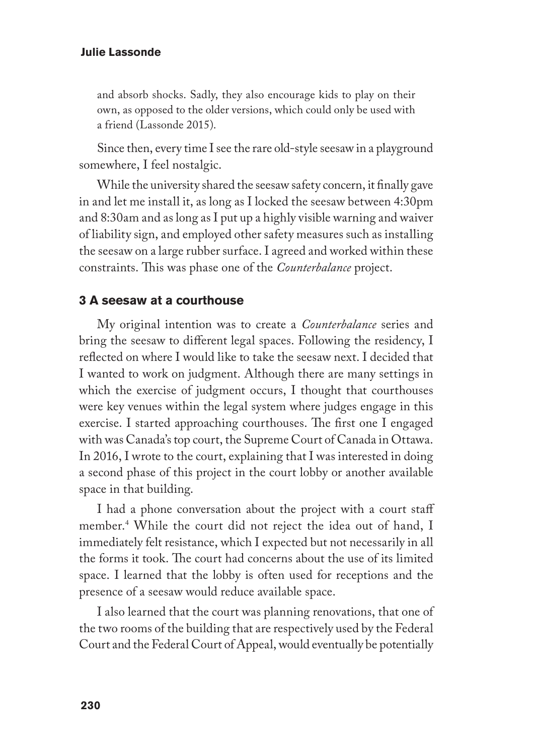and absorb shocks. Sadly, they also encourage kids to play on their own, as opposed to the older versions, which could only be used with a friend (Lassonde 2015).

Since then, every time I see the rare old-style seesaw in a playground somewhere, I feel nostalgic.

While the university shared the seesaw safety concern, it finally gave in and let me install it, as long as I locked the seesaw between 4:30pm and 8:30am and as long as I put up a highly visible warning and waiver of liability sign, and employed other safety measures such as installing the seesaw on a large rubber surface. I agreed and worked within these constraints. This was phase one of the *Counterbalance* project.

### **3 A seesaw at a courthouse**

My original intention was to create a *Counterbalance* series and bring the seesaw to different legal spaces. Following the residency, I reflected on where I would like to take the seesaw next. I decided that I wanted to work on judgment. Although there are many settings in which the exercise of judgment occurs, I thought that courthouses were key venues within the legal system where judges engage in this exercise. I started approaching courthouses. The first one I engaged with was Canada's top court, the Supreme Court of Canada in Ottawa. In 2016, I wrote to the court, explaining that I was interested in doing a second phase of this project in the court lobby or another available space in that building.

I had a phone conversation about the project with a court staff member.4 While the court did not reject the idea out of hand, I immediately felt resistance, which I expected but not necessarily in all the forms it took. The court had concerns about the use of its limited space. I learned that the lobby is often used for receptions and the presence of a seesaw would reduce available space.

I also learned that the court was planning renovations, that one of the two rooms of the building that are respectively used by the Federal Court and the Federal Court of Appeal, would eventually be potentially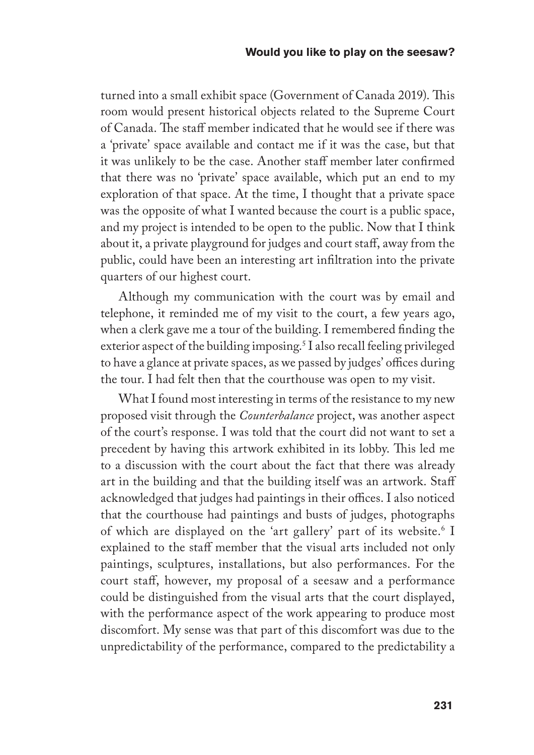turned into a small exhibit space (Government of Canada 2019). This room would present historical objects related to the Supreme Court of Canada. The staff member indicated that he would see if there was a 'private' space available and contact me if it was the case, but that it was unlikely to be the case. Another staff member later confirmed that there was no 'private' space available, which put an end to my exploration of that space. At the time, I thought that a private space was the opposite of what I wanted because the court is a public space, and my project is intended to be open to the public. Now that I think about it, a private playground for judges and court staff, away from the public, could have been an interesting art infiltration into the private quarters of our highest court.

Although my communication with the court was by email and telephone, it reminded me of my visit to the court, a few years ago, when a clerk gave me a tour of the building. I remembered finding the exterior aspect of the building imposing.<sup>5</sup> I also recall feeling privileged to have a glance at private spaces, as we passed by judges' offices during the tour. I had felt then that the courthouse was open to my visit.

What I found most interesting in terms of the resistance to my new proposed visit through the *Counterbalance* project, was another aspect of the court's response. I was told that the court did not want to set a precedent by having this artwork exhibited in its lobby. This led me to a discussion with the court about the fact that there was already art in the building and that the building itself was an artwork. Staff acknowledged that judges had paintings in their offices. I also noticed that the courthouse had paintings and busts of judges, photographs of which are displayed on the 'art gallery' part of its website.6 I explained to the staff member that the visual arts included not only paintings, sculptures, installations, but also performances. For the court staff, however, my proposal of a seesaw and a performance could be distinguished from the visual arts that the court displayed, with the performance aspect of the work appearing to produce most discomfort. My sense was that part of this discomfort was due to the unpredictability of the performance, compared to the predictability a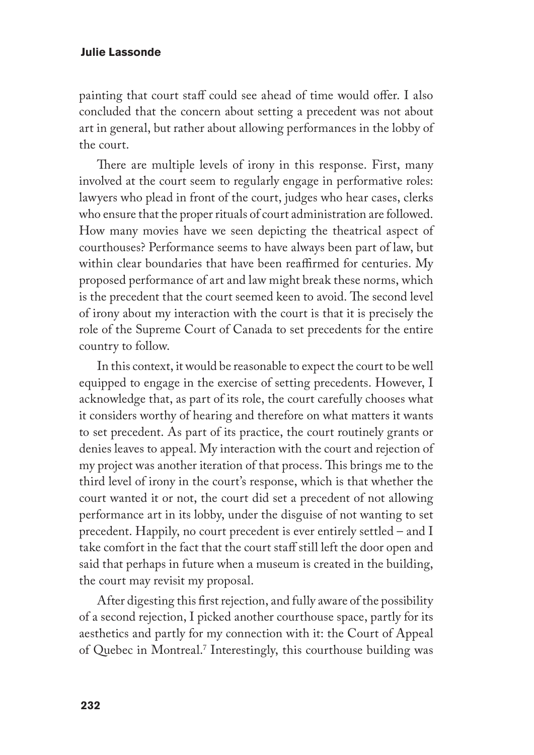painting that court staff could see ahead of time would offer. I also concluded that the concern about setting a precedent was not about art in general, but rather about allowing performances in the lobby of the court.

There are multiple levels of irony in this response. First, many involved at the court seem to regularly engage in performative roles: lawyers who plead in front of the court, judges who hear cases, clerks who ensure that the proper rituals of court administration are followed. How many movies have we seen depicting the theatrical aspect of courthouses? Performance seems to have always been part of law, but within clear boundaries that have been reaffirmed for centuries. My proposed performance of art and law might break these norms, which is the precedent that the court seemed keen to avoid. The second level of irony about my interaction with the court is that it is precisely the role of the Supreme Court of Canada to set precedents for the entire country to follow.

In this context, it would be reasonable to expect the court to be well equipped to engage in the exercise of setting precedents. However, I acknowledge that, as part of its role, the court carefully chooses what it considers worthy of hearing and therefore on what matters it wants to set precedent. As part of its practice, the court routinely grants or denies leaves to appeal. My interaction with the court and rejection of my project was another iteration of that process. This brings me to the third level of irony in the court's response, which is that whether the court wanted it or not, the court did set a precedent of not allowing performance art in its lobby, under the disguise of not wanting to set precedent. Happily, no court precedent is ever entirely settled – and I take comfort in the fact that the court staff still left the door open and said that perhaps in future when a museum is created in the building, the court may revisit my proposal.

After digesting this first rejection, and fully aware of the possibility of a second rejection, I picked another courthouse space, partly for its aesthetics and partly for my connection with it: the Court of Appeal of Quebec in Montreal.7 Interestingly, this courthouse building was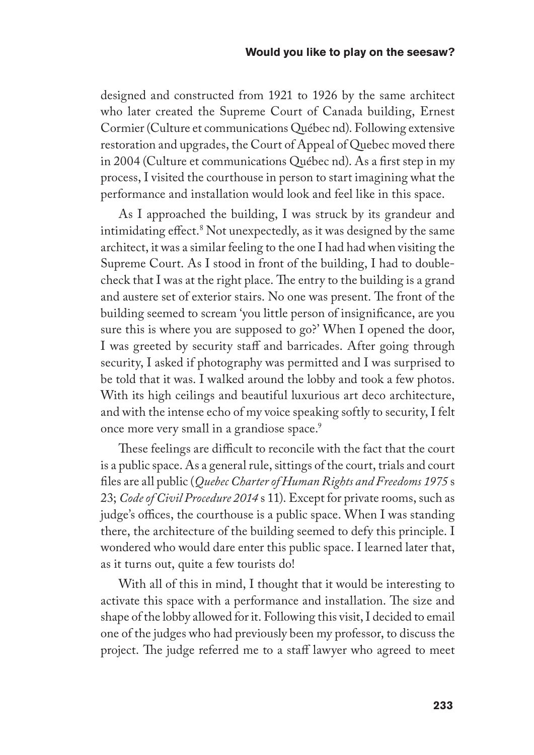#### **Would you like to play on the seesaw?**

designed and constructed from 1921 to 1926 by the same architect who later created the Supreme Court of Canada building, Ernest Cormier (Culture et communications Québec nd). Following extensive restoration and upgrades, the Court of Appeal of Quebec moved there in 2004 (Culture et communications Québec nd). As a first step in my process, I visited the courthouse in person to start imagining what the performance and installation would look and feel like in this space.

As I approached the building, I was struck by its grandeur and intimidating effect.8 Not unexpectedly, as it was designed by the same architect, it was a similar feeling to the one I had had when visiting the Supreme Court. As I stood in front of the building, I had to doublecheck that I was at the right place. The entry to the building is a grand and austere set of exterior stairs. No one was present. The front of the building seemed to scream 'you little person of insignificance, are you sure this is where you are supposed to go?' When I opened the door, I was greeted by security staff and barricades. After going through security, I asked if photography was permitted and I was surprised to be told that it was. I walked around the lobby and took a few photos. With its high ceilings and beautiful luxurious art deco architecture, and with the intense echo of my voice speaking softly to security, I felt once more very small in a grandiose space.<sup>9</sup>

These feelings are difficult to reconcile with the fact that the court is a public space. As a general rule, sittings of the court, trials and court files are all public (*Quebec Charter of Human Rights and Freedoms 1975* s 23; *Code of Civil Procedure 2014* s 11). Except for private rooms, such as judge's offices, the courthouse is a public space. When I was standing there, the architecture of the building seemed to defy this principle. I wondered who would dare enter this public space. I learned later that, as it turns out, quite a few tourists do!

With all of this in mind, I thought that it would be interesting to activate this space with a performance and installation. The size and shape of the lobby allowed for it. Following this visit, I decided to email one of the judges who had previously been my professor, to discuss the project. The judge referred me to a staff lawyer who agreed to meet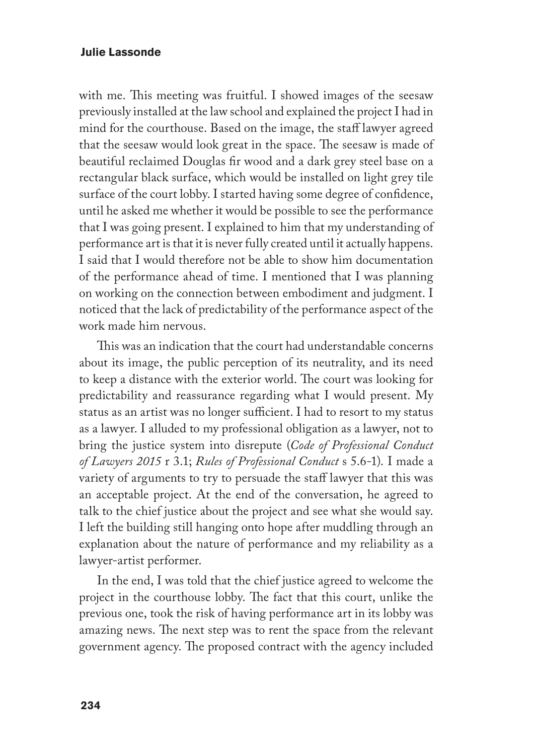with me. This meeting was fruitful. I showed images of the seesaw previously installed at the law school and explained the project I had in mind for the courthouse. Based on the image, the staff lawyer agreed that the seesaw would look great in the space. The seesaw is made of beautiful reclaimed Douglas fir wood and a dark grey steel base on a rectangular black surface, which would be installed on light grey tile surface of the court lobby. I started having some degree of confidence, until he asked me whether it would be possible to see the performance that I was going present. I explained to him that my understanding of performance art is that it is never fully created until it actually happens. I said that I would therefore not be able to show him documentation of the performance ahead of time. I mentioned that I was planning on working on the connection between embodiment and judgment. I noticed that the lack of predictability of the performance aspect of the work made him nervous.

This was an indication that the court had understandable concerns about its image, the public perception of its neutrality, and its need to keep a distance with the exterior world. The court was looking for predictability and reassurance regarding what I would present. My status as an artist was no longer sufficient. I had to resort to my status as a lawyer. I alluded to my professional obligation as a lawyer, not to bring the justice system into disrepute (*Code of Professional Conduct of Lawyers 2015* r 3.1; *Rules of Professional Conduct* s 5.6-1). I made a variety of arguments to try to persuade the staff lawyer that this was an acceptable project. At the end of the conversation, he agreed to talk to the chief justice about the project and see what she would say. I left the building still hanging onto hope after muddling through an explanation about the nature of performance and my reliability as a lawyer-artist performer.

In the end, I was told that the chief justice agreed to welcome the project in the courthouse lobby. The fact that this court, unlike the previous one, took the risk of having performance art in its lobby was amazing news. The next step was to rent the space from the relevant government agency. The proposed contract with the agency included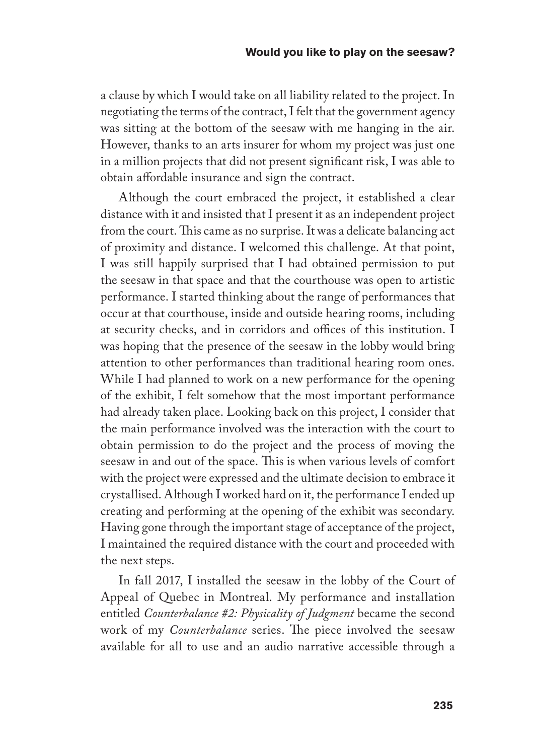a clause by which I would take on all liability related to the project. In negotiating the terms of the contract, I felt that the government agency was sitting at the bottom of the seesaw with me hanging in the air. However, thanks to an arts insurer for whom my project was just one in a million projects that did not present significant risk, I was able to obtain affordable insurance and sign the contract.

Although the court embraced the project, it established a clear distance with it and insisted that I present it as an independent project from the court. This came as no surprise. It was a delicate balancing act of proximity and distance. I welcomed this challenge. At that point, I was still happily surprised that I had obtained permission to put the seesaw in that space and that the courthouse was open to artistic performance. I started thinking about the range of performances that occur at that courthouse, inside and outside hearing rooms, including at security checks, and in corridors and offices of this institution. I was hoping that the presence of the seesaw in the lobby would bring attention to other performances than traditional hearing room ones. While I had planned to work on a new performance for the opening of the exhibit, I felt somehow that the most important performance had already taken place. Looking back on this project, I consider that the main performance involved was the interaction with the court to obtain permission to do the project and the process of moving the seesaw in and out of the space. This is when various levels of comfort with the project were expressed and the ultimate decision to embrace it crystallised. Although I worked hard on it, the performance I ended up creating and performing at the opening of the exhibit was secondary. Having gone through the important stage of acceptance of the project, I maintained the required distance with the court and proceeded with the next steps.

In fall 2017, I installed the seesaw in the lobby of the Court of Appeal of Quebec in Montreal. My performance and installation entitled *Counterbalance #2: Physicality of Judgment* became the second work of my *Counterbalance* series. The piece involved the seesaw available for all to use and an audio narrative accessible through a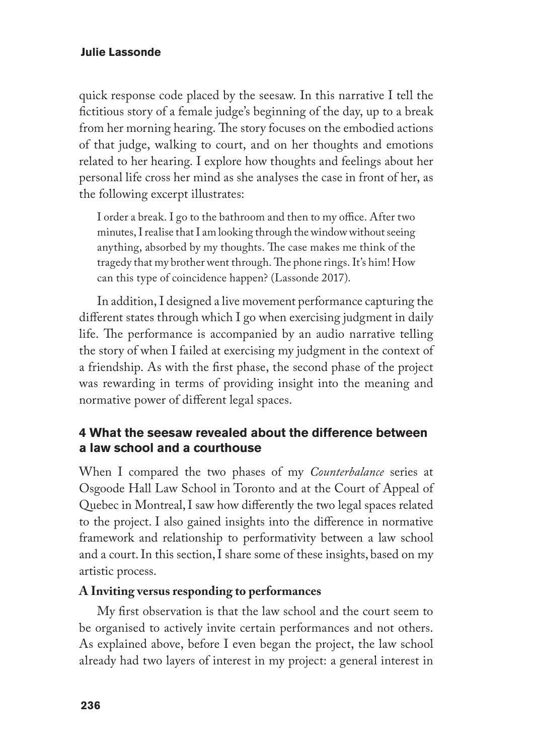quick response code placed by the seesaw. In this narrative I tell the fictitious story of a female judge's beginning of the day, up to a break from her morning hearing. The story focuses on the embodied actions of that judge, walking to court, and on her thoughts and emotions related to her hearing. I explore how thoughts and feelings about her personal life cross her mind as she analyses the case in front of her, as the following excerpt illustrates:

I order a break. I go to the bathroom and then to my office. After two minutes, I realise that I am looking through the window without seeing anything, absorbed by my thoughts. The case makes me think of the tragedy that my brother went through. The phone rings. It's him! How can this type of coincidence happen? (Lassonde 2017).

In addition, I designed a live movement performance capturing the different states through which I go when exercising judgment in daily life. The performance is accompanied by an audio narrative telling the story of when I failed at exercising my judgment in the context of a friendship. As with the first phase, the second phase of the project was rewarding in terms of providing insight into the meaning and normative power of different legal spaces.

# **4 What the seesaw revealed about the difference between a law school and a courthouse**

When I compared the two phases of my *Counterbalance* series at Osgoode Hall Law School in Toronto and at the Court of Appeal of Quebec in Montreal, I saw how differently the two legal spaces related to the project. I also gained insights into the difference in normative framework and relationship to performativity between a law school and a court. In this section, I share some of these insights, based on my artistic process.

# **A Inviting versus responding to performances**

My first observation is that the law school and the court seem to be organised to actively invite certain performances and not others. As explained above, before I even began the project, the law school already had two layers of interest in my project: a general interest in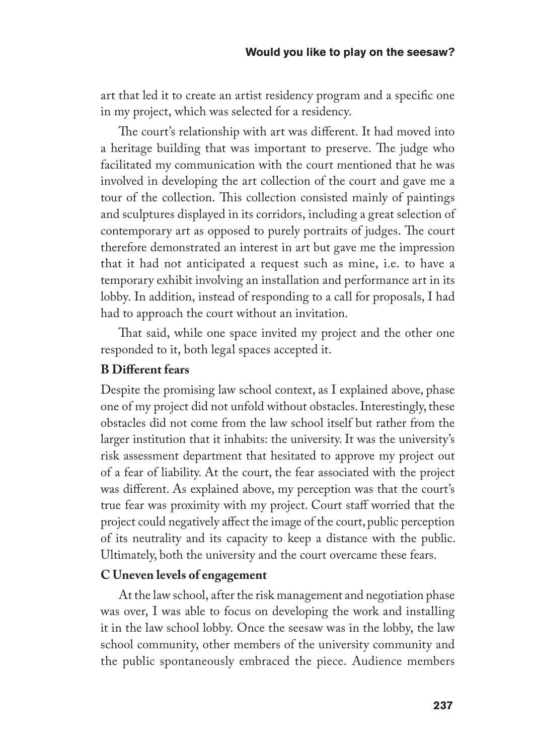art that led it to create an artist residency program and a specific one in my project, which was selected for a residency.

The court's relationship with art was different. It had moved into a heritage building that was important to preserve. The judge who facilitated my communication with the court mentioned that he was involved in developing the art collection of the court and gave me a tour of the collection. This collection consisted mainly of paintings and sculptures displayed in its corridors, including a great selection of contemporary art as opposed to purely portraits of judges. The court therefore demonstrated an interest in art but gave me the impression that it had not anticipated a request such as mine, i.e. to have a temporary exhibit involving an installation and performance art in its lobby. In addition, instead of responding to a call for proposals, I had had to approach the court without an invitation.

That said, while one space invited my project and the other one responded to it, both legal spaces accepted it.

# **B Different fears**

Despite the promising law school context, as I explained above, phase one of my project did not unfold without obstacles. Interestingly, these obstacles did not come from the law school itself but rather from the larger institution that it inhabits: the university. It was the university's risk assessment department that hesitated to approve my project out of a fear of liability. At the court, the fear associated with the project was different. As explained above, my perception was that the court's true fear was proximity with my project. Court staff worried that the project could negatively affect the image of the court, public perception of its neutrality and its capacity to keep a distance with the public. Ultimately, both the university and the court overcame these fears.

## **C Uneven levels of engagement**

At the law school, after the risk management and negotiation phase was over, I was able to focus on developing the work and installing it in the law school lobby. Once the seesaw was in the lobby, the law school community, other members of the university community and the public spontaneously embraced the piece. Audience members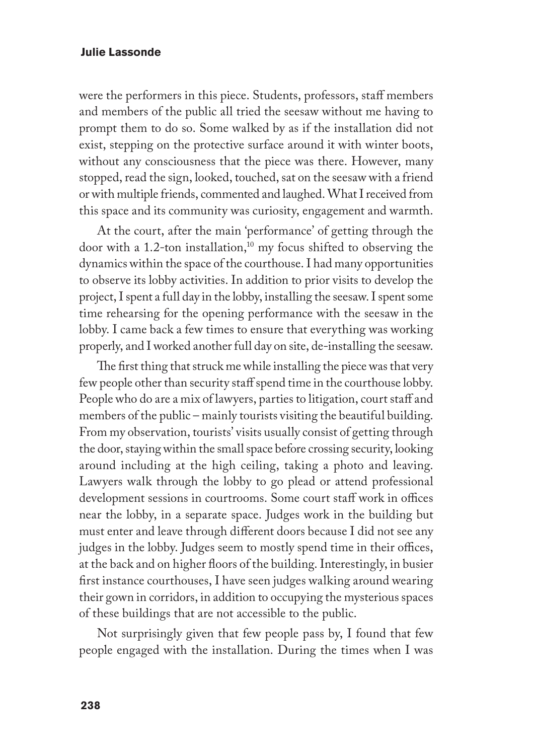were the performers in this piece. Students, professors, staff members and members of the public all tried the seesaw without me having to prompt them to do so. Some walked by as if the installation did not exist, stepping on the protective surface around it with winter boots, without any consciousness that the piece was there. However, many stopped, read the sign, looked, touched, sat on the seesaw with a friend or with multiple friends, commented and laughed. What I received from this space and its community was curiosity, engagement and warmth.

At the court, after the main 'performance' of getting through the door with a 1.2-ton installation,<sup>10</sup> my focus shifted to observing the dynamics within the space of the courthouse. I had many opportunities to observe its lobby activities. In addition to prior visits to develop the project, I spent a full day in the lobby, installing the seesaw. I spent some time rehearsing for the opening performance with the seesaw in the lobby. I came back a few times to ensure that everything was working properly, and I worked another full day on site, de-installing the seesaw.

The first thing that struck me while installing the piece was that very few people other than security staff spend time in the courthouse lobby. People who do are a mix of lawyers, parties to litigation, court staff and members of the public – mainly tourists visiting the beautiful building. From my observation, tourists' visits usually consist of getting through the door, staying within the small space before crossing security, looking around including at the high ceiling, taking a photo and leaving. Lawyers walk through the lobby to go plead or attend professional development sessions in courtrooms. Some court staff work in offices near the lobby, in a separate space. Judges work in the building but must enter and leave through different doors because I did not see any judges in the lobby. Judges seem to mostly spend time in their offices, at the back and on higher floors of the building. Interestingly, in busier first instance courthouses, I have seen judges walking around wearing their gown in corridors, in addition to occupying the mysterious spaces of these buildings that are not accessible to the public.

Not surprisingly given that few people pass by, I found that few people engaged with the installation. During the times when I was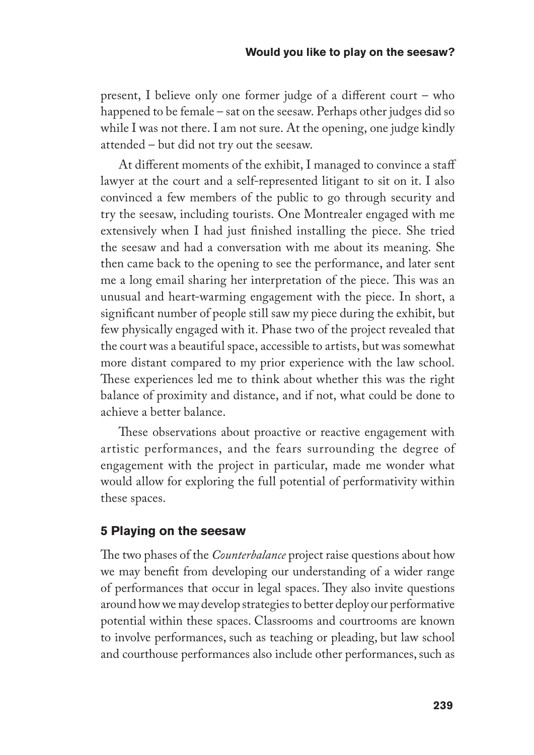present, I believe only one former judge of a different court – who happened to be female – sat on the seesaw. Perhaps other judges did so while I was not there. I am not sure. At the opening, one judge kindly attended – but did not try out the seesaw.

At different moments of the exhibit, I managed to convince a staff lawyer at the court and a self-represented litigant to sit on it. I also convinced a few members of the public to go through security and try the seesaw, including tourists. One Montrealer engaged with me extensively when I had just finished installing the piece. She tried the seesaw and had a conversation with me about its meaning. She then came back to the opening to see the performance, and later sent me a long email sharing her interpretation of the piece. This was an unusual and heart-warming engagement with the piece. In short, a significant number of people still saw my piece during the exhibit, but few physically engaged with it. Phase two of the project revealed that the court was a beautiful space, accessible to artists, but was somewhat more distant compared to my prior experience with the law school. These experiences led me to think about whether this was the right balance of proximity and distance, and if not, what could be done to achieve a better balance.

These observations about proactive or reactive engagement with artistic performances, and the fears surrounding the degree of engagement with the project in particular, made me wonder what would allow for exploring the full potential of performativity within these spaces.

# **5 Playing on the seesaw**

The two phases of the *Counterbalance* project raise questions about how we may benefit from developing our understanding of a wider range of performances that occur in legal spaces. They also invite questions around how we may develop strategies to better deploy our performative potential within these spaces. Classrooms and courtrooms are known to involve performances, such as teaching or pleading, but law school and courthouse performances also include other performances, such as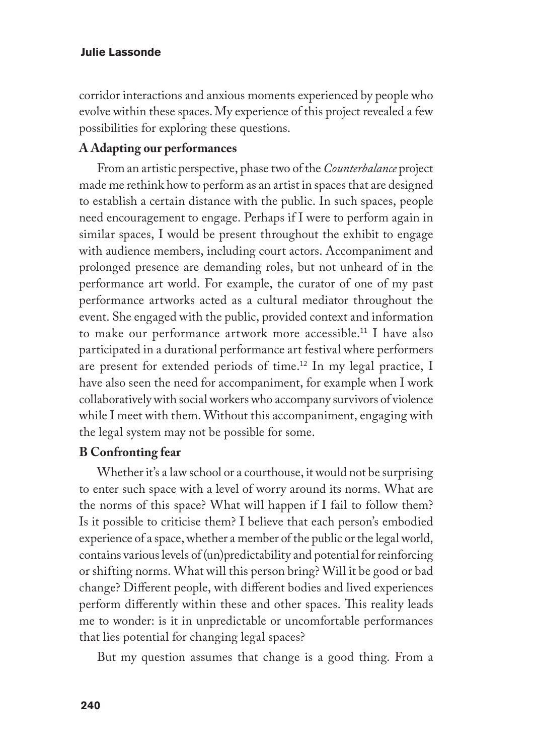corridor interactions and anxious moments experienced by people who evolve within these spaces. My experience of this project revealed a few possibilities for exploring these questions.

## **A Adapting our performances**

From an artistic perspective, phase two of the *Counterbalance* project made me rethink how to perform as an artist in spaces that are designed to establish a certain distance with the public. In such spaces, people need encouragement to engage. Perhaps if I were to perform again in similar spaces, I would be present throughout the exhibit to engage with audience members, including court actors. Accompaniment and prolonged presence are demanding roles, but not unheard of in the performance art world. For example, the curator of one of my past performance artworks acted as a cultural mediator throughout the event. She engaged with the public, provided context and information to make our performance artwork more accessible.11 I have also participated in a durational performance art festival where performers are present for extended periods of time.12 In my legal practice, I have also seen the need for accompaniment, for example when I work collaboratively with social workers who accompany survivors of violence while I meet with them. Without this accompaniment, engaging with the legal system may not be possible for some.

### **B Confronting fear**

Whether it's a law school or a courthouse, it would not be surprising to enter such space with a level of worry around its norms. What are the norms of this space? What will happen if I fail to follow them? Is it possible to criticise them? I believe that each person's embodied experience of a space, whether a member of the public or the legal world, contains various levels of (un)predictability and potential for reinforcing or shifting norms. What will this person bring? Will it be good or bad change? Different people, with different bodies and lived experiences perform differently within these and other spaces. This reality leads me to wonder: is it in unpredictable or uncomfortable performances that lies potential for changing legal spaces?

But my question assumes that change is a good thing. From a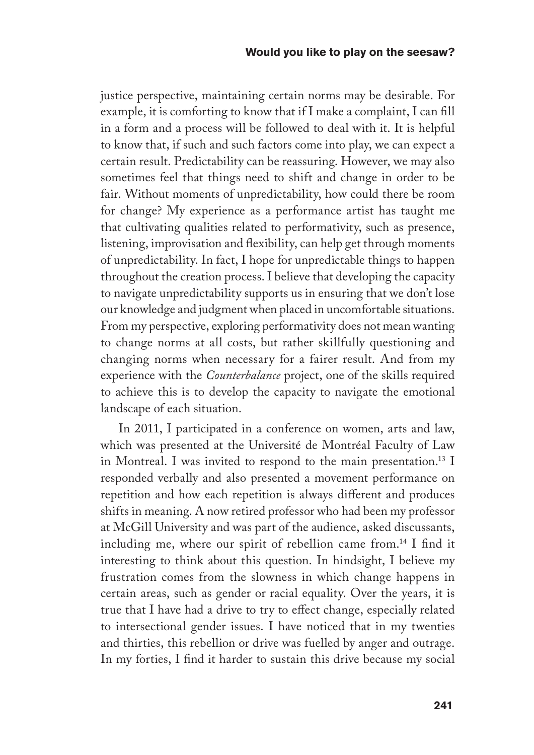justice perspective, maintaining certain norms may be desirable. For example, it is comforting to know that if I make a complaint, I can fill in a form and a process will be followed to deal with it. It is helpful to know that, if such and such factors come into play, we can expect a certain result. Predictability can be reassuring. However, we may also sometimes feel that things need to shift and change in order to be fair. Without moments of unpredictability, how could there be room for change? My experience as a performance artist has taught me that cultivating qualities related to performativity, such as presence, listening, improvisation and flexibility, can help get through moments of unpredictability. In fact, I hope for unpredictable things to happen throughout the creation process. I believe that developing the capacity to navigate unpredictability supports us in ensuring that we don't lose our knowledge and judgment when placed in uncomfortable situations. From my perspective, exploring performativity does not mean wanting to change norms at all costs, but rather skillfully questioning and changing norms when necessary for a fairer result. And from my experience with the *Counterbalance* project, one of the skills required to achieve this is to develop the capacity to navigate the emotional landscape of each situation.

In 2011, I participated in a conference on women, arts and law, which was presented at the Université de Montréal Faculty of Law in Montreal. I was invited to respond to the main presentation.<sup>13</sup> I responded verbally and also presented a movement performance on repetition and how each repetition is always different and produces shifts in meaning. A now retired professor who had been my professor at McGill University and was part of the audience, asked discussants, including me, where our spirit of rebellion came from.14 I find it interesting to think about this question. In hindsight, I believe my frustration comes from the slowness in which change happens in certain areas, such as gender or racial equality. Over the years, it is true that I have had a drive to try to effect change, especially related to intersectional gender issues. I have noticed that in my twenties and thirties, this rebellion or drive was fuelled by anger and outrage. In my forties, I find it harder to sustain this drive because my social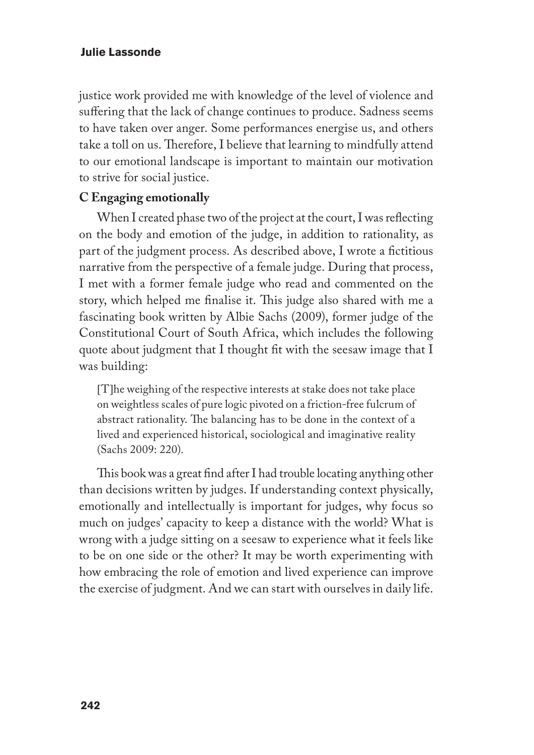justice work provided me with knowledge of the level of violence and suffering that the lack of change continues to produce. Sadness seems to have taken over anger. Some performances energise us, and others take a toll on us. Therefore, I believe that learning to mindfully attend to our emotional landscape is important to maintain our motivation to strive for social justice.

# **C Engaging emotionally**

When I created phase two of the project at the court, I was reflecting on the body and emotion of the judge, in addition to rationality, as part of the judgment process. As described above, I wrote a fictitious narrative from the perspective of a female judge. During that process, I met with a former female judge who read and commented on the story, which helped me finalise it. This judge also shared with me a fascinating book written by Albie Sachs (2009), former judge of the Constitutional Court of South Africa, which includes the following quote about judgment that I thought fit with the seesaw image that I was building:

[T]he weighing of the respective interests at stake does not take place on weightless scales of pure logic pivoted on a friction-free fulcrum of abstract rationality. The balancing has to be done in the context of a lived and experienced historical, sociological and imaginative reality (Sachs 2009: 220).

This book was a great find after I had trouble locating anything other than decisions written by judges. If understanding context physically, emotionally and intellectually is important for judges, why focus so much on judges' capacity to keep a distance with the world? What is wrong with a judge sitting on a seesaw to experience what it feels like to be on one side or the other? It may be worth experimenting with how embracing the role of emotion and lived experience can improve the exercise of judgment. And we can start with ourselves in daily life.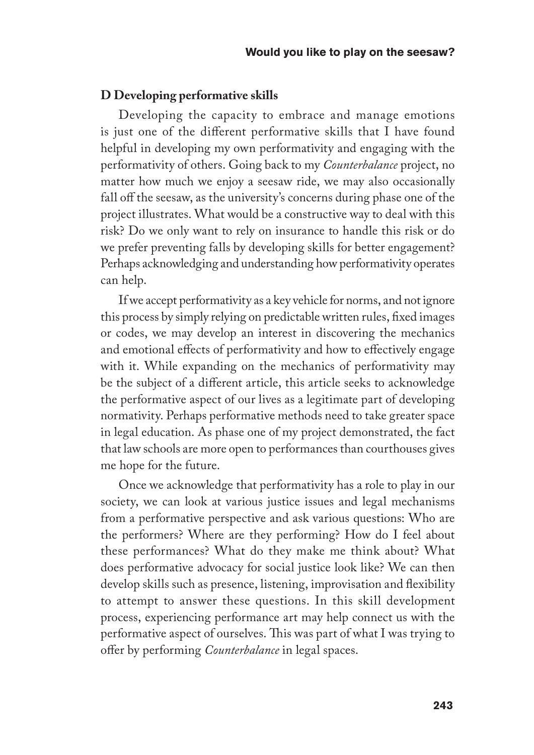#### **D Developing performative skills**

Developing the capacity to embrace and manage emotions is just one of the different performative skills that I have found helpful in developing my own performativity and engaging with the performativity of others. Going back to my *Counterbalance* project, no matter how much we enjoy a seesaw ride, we may also occasionally fall off the seesaw, as the university's concerns during phase one of the project illustrates. What would be a constructive way to deal with this risk? Do we only want to rely on insurance to handle this risk or do we prefer preventing falls by developing skills for better engagement? Perhaps acknowledging and understanding how performativity operates can help.

If we accept performativity as a key vehicle for norms, and not ignore this process by simply relying on predictable written rules, fixed images or codes, we may develop an interest in discovering the mechanics and emotional effects of performativity and how to effectively engage with it. While expanding on the mechanics of performativity may be the subject of a different article, this article seeks to acknowledge the performative aspect of our lives as a legitimate part of developing normativity. Perhaps performative methods need to take greater space in legal education. As phase one of my project demonstrated, the fact that law schools are more open to performances than courthouses gives me hope for the future.

Once we acknowledge that performativity has a role to play in our society, we can look at various justice issues and legal mechanisms from a performative perspective and ask various questions: Who are the performers? Where are they performing? How do I feel about these performances? What do they make me think about? What does performative advocacy for social justice look like? We can then develop skills such as presence, listening, improvisation and flexibility to attempt to answer these questions. In this skill development process, experiencing performance art may help connect us with the performative aspect of ourselves. This was part of what I was trying to offer by performing *Counterbalance* in legal spaces.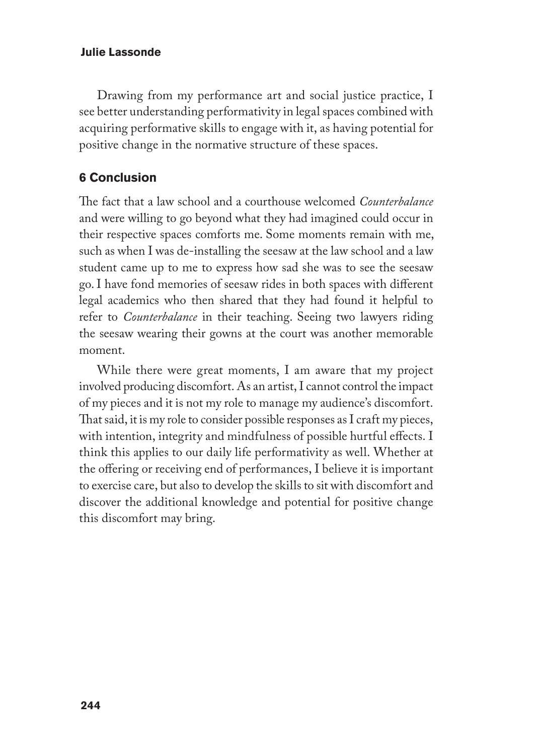Drawing from my performance art and social justice practice, I see better understanding performativity in legal spaces combined with acquiring performative skills to engage with it, as having potential for positive change in the normative structure of these spaces.

# **6 Conclusion**

The fact that a law school and a courthouse welcomed *Counterbalance* and were willing to go beyond what they had imagined could occur in their respective spaces comforts me. Some moments remain with me, such as when I was de-installing the seesaw at the law school and a law student came up to me to express how sad she was to see the seesaw go. I have fond memories of seesaw rides in both spaces with different legal academics who then shared that they had found it helpful to refer to *Counterbalance* in their teaching. Seeing two lawyers riding the seesaw wearing their gowns at the court was another memorable moment.

While there were great moments, I am aware that my project involved producing discomfort. As an artist, I cannot control the impact of my pieces and it is not my role to manage my audience's discomfort. That said, it is my role to consider possible responses as I craft my pieces, with intention, integrity and mindfulness of possible hurtful effects. I think this applies to our daily life performativity as well. Whether at the offering or receiving end of performances, I believe it is important to exercise care, but also to develop the skills to sit with discomfort and discover the additional knowledge and potential for positive change this discomfort may bring.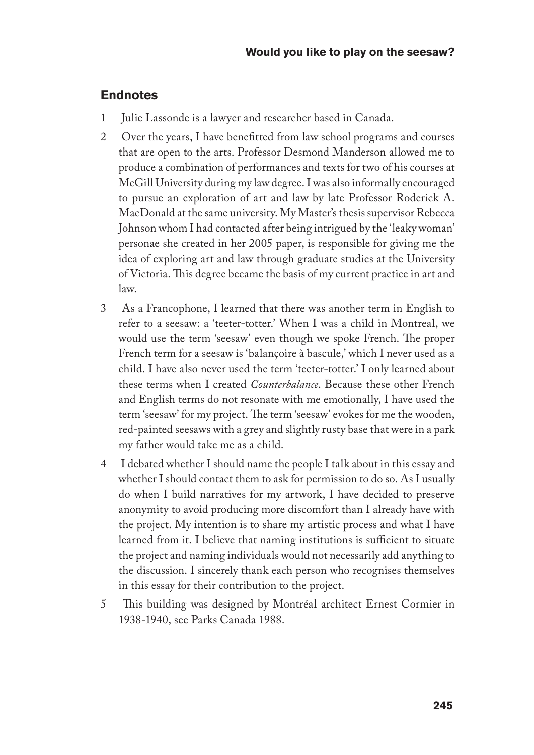## **Endnotes**

- 1 Julie Lassonde is a lawyer and researcher based in Canada.
- 2 Over the years, I have benefitted from law school programs and courses that are open to the arts. Professor Desmond Manderson allowed me to produce a combination of performances and texts for two of his courses at McGill University during my law degree. I was also informally encouraged to pursue an exploration of art and law by late Professor Roderick A. MacDonald at the same university. My Master's thesis supervisor Rebecca Johnson whom I had contacted after being intrigued by the 'leaky woman' personae she created in her 2005 paper, is responsible for giving me the idea of exploring art and law through graduate studies at the University of Victoria. This degree became the basis of my current practice in art and law.
- 3 As a Francophone, I learned that there was another term in English to refer to a seesaw: a 'teeter-totter.' When I was a child in Montreal, we would use the term 'seesaw' even though we spoke French. The proper French term for a seesaw is 'balançoire à bascule,' which I never used as a child. I have also never used the term 'teeter-totter.' I only learned about these terms when I created *Counterbalance*. Because these other French and English terms do not resonate with me emotionally, I have used the term 'seesaw' for my project. The term 'seesaw' evokes for me the wooden, red-painted seesaws with a grey and slightly rusty base that were in a park my father would take me as a child.
- 4 I debated whether I should name the people I talk about in this essay and whether I should contact them to ask for permission to do so. As I usually do when I build narratives for my artwork, I have decided to preserve anonymity to avoid producing more discomfort than I already have with the project. My intention is to share my artistic process and what I have learned from it. I believe that naming institutions is sufficient to situate the project and naming individuals would not necessarily add anything to the discussion. I sincerely thank each person who recognises themselves in this essay for their contribution to the project.
- 5 This building was designed by Montréal architect Ernest Cormier in 1938-1940, see Parks Canada 1988.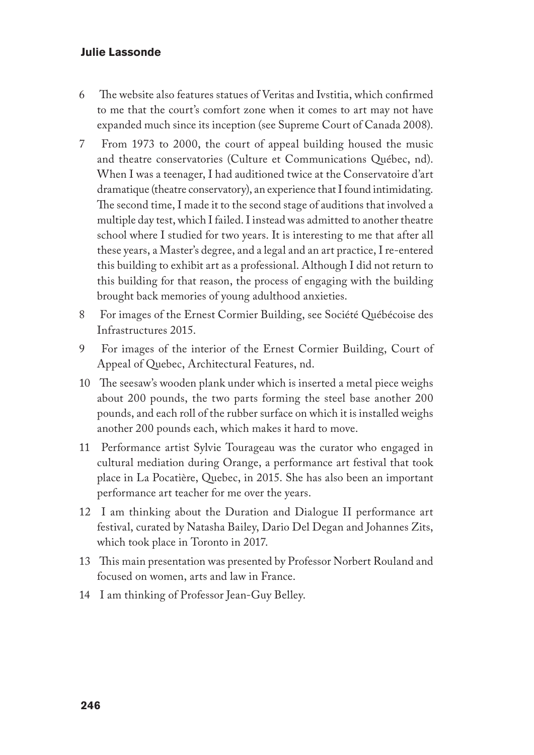- 6 The website also features statues of Veritas and Ivstitia, which confirmed to me that the court's comfort zone when it comes to art may not have expanded much since its inception (see Supreme Court of Canada 2008).
- 7 From 1973 to 2000, the court of appeal building housed the music and theatre conservatories (Culture et Communications Québec, nd). When I was a teenager, I had auditioned twice at the Conservatoire d'art dramatique (theatre conservatory), an experience that I found intimidating. The second time, I made it to the second stage of auditions that involved a multiple day test, which I failed. I instead was admitted to another theatre school where I studied for two years. It is interesting to me that after all these years, a Master's degree, and a legal and an art practice, I re-entered this building to exhibit art as a professional. Although I did not return to this building for that reason, the process of engaging with the building brought back memories of young adulthood anxieties.
- 8 For images of the Ernest Cormier Building, see Société Québécoise des Infrastructures 2015.
- 9 For images of the interior of the Ernest Cormier Building, Court of Appeal of Quebec, Architectural Features, nd.
- 10 The seesaw's wooden plank under which is inserted a metal piece weighs about 200 pounds, the two parts forming the steel base another 200 pounds, and each roll of the rubber surface on which it is installed weighs another 200 pounds each, which makes it hard to move.
- 11 Performance artist Sylvie Tourageau was the curator who engaged in cultural mediation during Orange, a performance art festival that took place in La Pocatière, Quebec, in 2015. She has also been an important performance art teacher for me over the years.
- 12 I am thinking about the Duration and Dialogue II performance art festival, curated by Natasha Bailey, Dario Del Degan and Johannes Zits, which took place in Toronto in 2017.
- 13 This main presentation was presented by Professor Norbert Rouland and focused on women, arts and law in France.
- 14 I am thinking of Professor Jean-Guy Belley.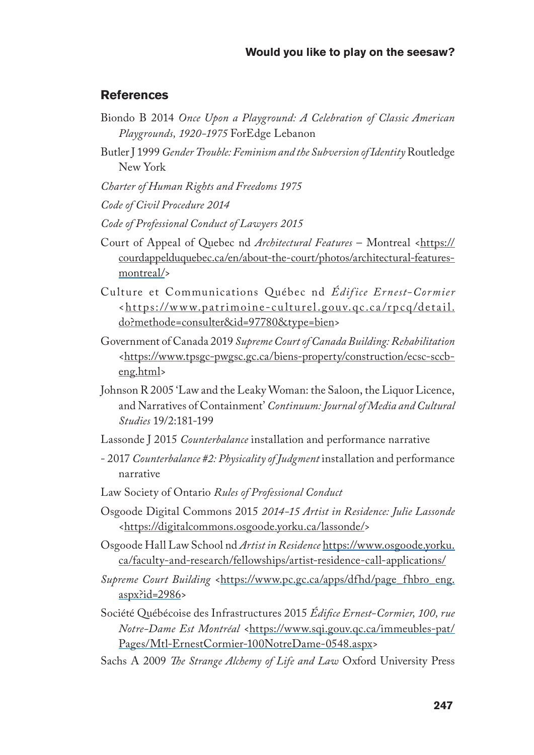## **References**

- Biondo B 2014 *Once Upon a Playground: A Celebration of Classic American Playgrounds, 1920-1975* ForEdge Lebanon
- Butler J 1999 *Gender Trouble: Feminism and the Subversion of Identity* Routledge New York
- *Charter of Human Rights and Freedoms 1975*
- *Code of Civil Procedure 2014*
- *Code of Professional Conduct of Lawyers 2015*
- Court of Appeal of Quebec nd *Architectural Features* Montreal <https:// courdappelduquebec.ca/en/about-the-court/photos/architectural-featuresmontreal/>
- Culture et Communications Québec nd *Édifice Ernest-Cormier* <https://www.patrimoine-culturel.gouv.qc.ca/rpcq/detail. do?methode=consulter&id=97780&type=bien>
- Government of Canada 2019 *Supreme Court of Canada Building: Rehabilitation* <https://www.tpsgc-pwgsc.gc.ca/biens-property/construction/ecsc-sccbeng.html>
- Johnson R 2005 'Law and the Leaky Woman: the Saloon, the Liquor Licence, and Narratives of Containment' *Continuum: Journal of Media and Cultural Studies* 19/2:181-199
- Lassonde J 2015 *Counterbalance* installation and performance narrative
- 2017 *Counterbalance #2: Physicality of Judgment* installation and performance narrative
- Law Society of Ontario *Rules of Professional Conduct*
- Osgoode Digital Commons 2015 *2014-15 Artist in Residence: Julie Lassonde* <https://digitalcommons.osgoode.yorku.ca/lassonde/>
- Osgoode Hall Law School nd *Artist in Residence* https://www.osgoode.yorku. ca/faculty-and-research/fellowships/artist-residence-call-applications/
- Supreme Court Building <https://www.pc.gc.ca/apps/dfhd/page\_fhbro\_eng. aspx?id=2986>
- Société Québécoise des Infrastructures 2015 *Édifice Ernest-Cormier, 100, rue Notre-Dame Est Montréal* <https://www.sqi.gouv.qc.ca/immeubles-pat/ Pages/Mtl-ErnestCormier-100NotreDame-0548.aspx>
- Sachs A 2009 *The Strange Alchemy of Life and Law* Oxford University Press